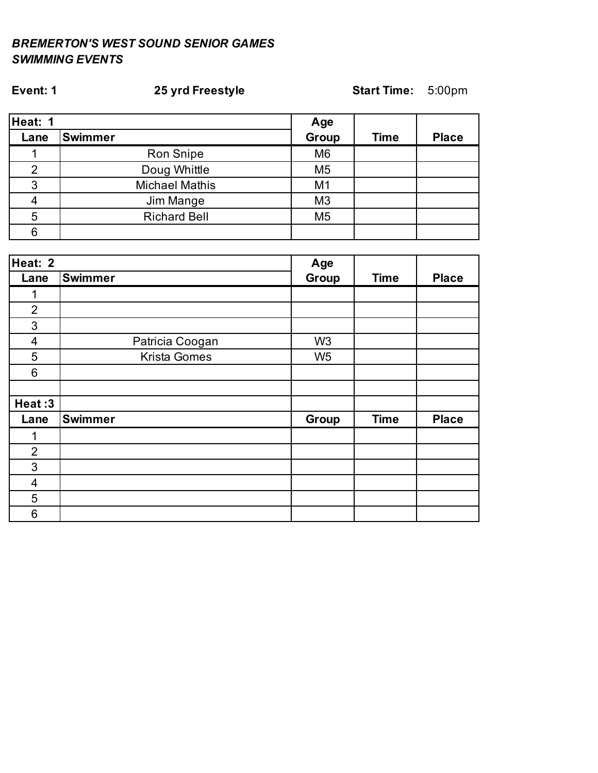# **Event: 1 25 yrd Freestyle Start Time:** 5:00pm

| Heat: 1 |                       | Age            |             |              |
|---------|-----------------------|----------------|-------------|--------------|
| Lane    | <b>Swimmer</b>        | Group          | <b>Time</b> | <b>Place</b> |
|         | Ron Snipe             | M <sub>6</sub> |             |              |
|         | Doug Whittle          | M <sub>5</sub> |             |              |
|         | <b>Michael Mathis</b> | M1             |             |              |
|         | Jim Mange             | M <sub>3</sub> |             |              |
|         | <b>Richard Bell</b>   | M <sub>5</sub> |             |              |
|         |                       |                |             |              |

| Heat: 2        |                     |                |             |              |
|----------------|---------------------|----------------|-------------|--------------|
| Lane           | <b>Swimmer</b>      | Group          | <b>Time</b> | <b>Place</b> |
| 1              |                     |                |             |              |
| $\overline{2}$ |                     |                |             |              |
| 3              |                     |                |             |              |
| $\overline{4}$ | Patricia Coogan     | W <sub>3</sub> |             |              |
| 5              | <b>Krista Gomes</b> | W <sub>5</sub> |             |              |
| 6              |                     |                |             |              |
|                |                     |                |             |              |
| Heat:3         |                     |                |             |              |
| Lane           | <b>Swimmer</b>      | Group          | <b>Time</b> | <b>Place</b> |
| 1              |                     |                |             |              |
| $\overline{2}$ |                     |                |             |              |
| 3              |                     |                |             |              |
| 4              |                     |                |             |              |
| 5              |                     |                |             |              |
| 6              |                     |                |             |              |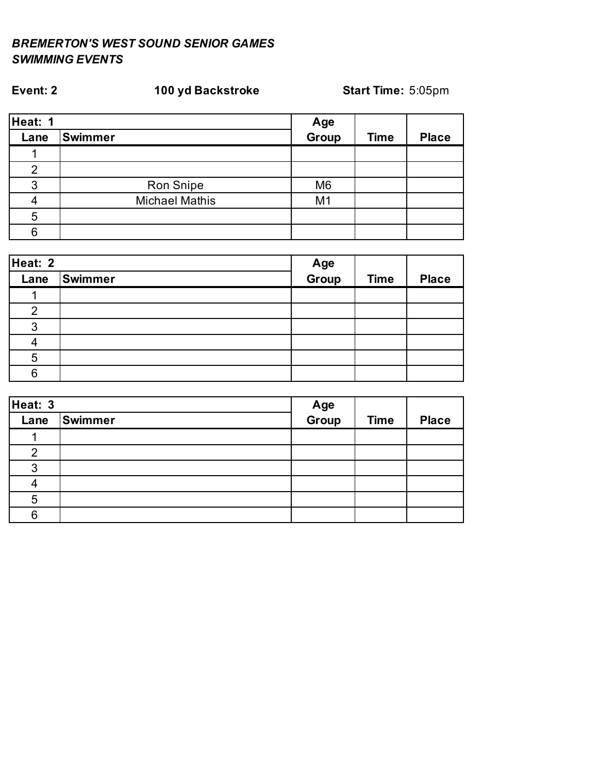| Heat: 1 |                       |                |             |              |
|---------|-----------------------|----------------|-------------|--------------|
| Lane    | <b>Swimmer</b>        | Age<br>Group   | <b>Time</b> | <b>Place</b> |
|         |                       |                |             |              |
|         |                       |                |             |              |
| 3       | Ron Snipe             | M <sub>6</sub> |             |              |
|         | <b>Michael Mathis</b> | M <sub>1</sub> |             |              |
|         |                       |                |             |              |
| ี่ค     |                       |                |             |              |

**Event: 2 100 yd Backstroke Start Time:** 5:05pm

| Heat: 2 |         |              |             |              |
|---------|---------|--------------|-------------|--------------|
| Lane    | Swimmer | Age<br>Group | <b>Time</b> | <b>Place</b> |
|         |         |              |             |              |
| ⌒       |         |              |             |              |
| ◠       |         |              |             |              |
|         |         |              |             |              |
| 5       |         |              |             |              |
| 6       |         |              |             |              |

| Heat: 3 |         |              |             |              |
|---------|---------|--------------|-------------|--------------|
| Lane    | Swimmer | Age<br>Group | <b>Time</b> | <b>Place</b> |
|         |         |              |             |              |
| റ       |         |              |             |              |
| 3       |         |              |             |              |
|         |         |              |             |              |
| 5       |         |              |             |              |
| 6       |         |              |             |              |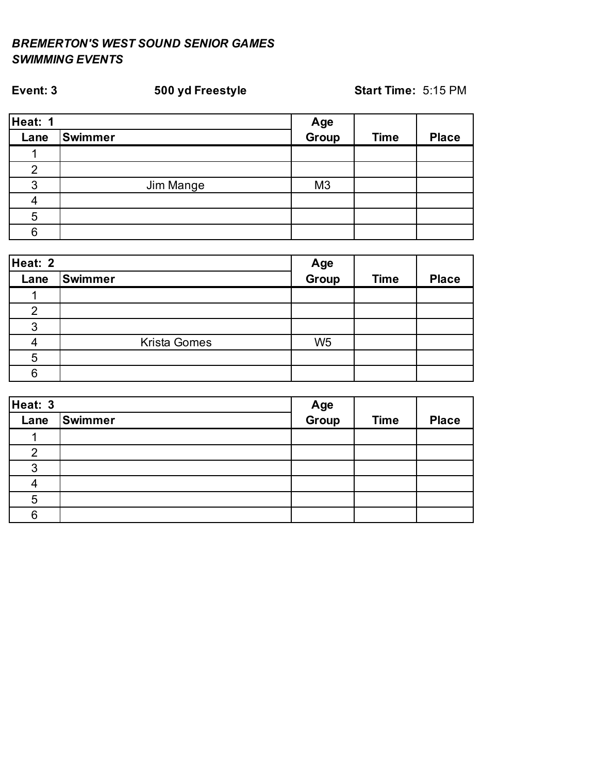### **Event: 3 500 yd Freestyle Start Time:** 5:15 PM

| Heat: 1        |           |                |             |              |
|----------------|-----------|----------------|-------------|--------------|
| Lane           | Swimmer   | Age<br>Group   | <b>Time</b> | <b>Place</b> |
|                |           |                |             |              |
| $\overline{2}$ |           |                |             |              |
| 3              | Jim Mange | M <sub>3</sub> |             |              |
|                |           |                |             |              |
| 5              |           |                |             |              |
| 6              |           |                |             |              |

| Heat: 2 |                     |                      |             |              |
|---------|---------------------|----------------------|-------------|--------------|
| Lane    | Swimmer             | <b>Age<br/>Group</b> | <b>Time</b> | <b>Place</b> |
|         |                     |                      |             |              |
| 2       |                     |                      |             |              |
| 3       |                     |                      |             |              |
|         | <b>Krista Gomes</b> | W <sub>5</sub>       |             |              |
| 5       |                     |                      |             |              |
| 6       |                     |                      |             |              |

| Heat: 3 |         |              |             |              |
|---------|---------|--------------|-------------|--------------|
| Lane    | Swimmer | Age<br>Group | <b>Time</b> | <b>Place</b> |
|         |         |              |             |              |
| 2       |         |              |             |              |
| ◠       |         |              |             |              |
|         |         |              |             |              |
| 5       |         |              |             |              |
| 6       |         |              |             |              |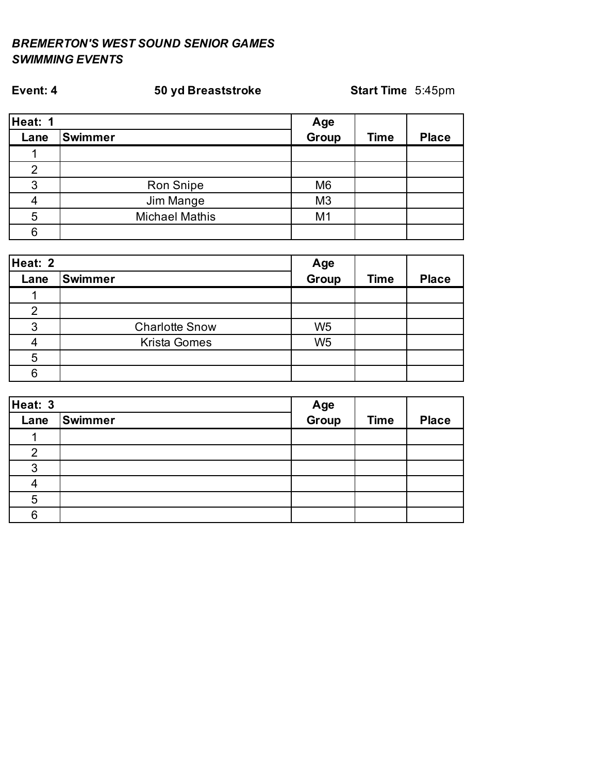| Heat: 1 |                       |                |             |              |
|---------|-----------------------|----------------|-------------|--------------|
| Lane    | <b>Swimmer</b>        | Age<br>Group   | <b>Time</b> | <b>Place</b> |
|         |                       |                |             |              |
|         |                       |                |             |              |
| 3       | Ron Snipe             | M <sub>6</sub> |             |              |
|         | Jim Mange             | M <sub>3</sub> |             |              |
| 5       | <b>Michael Mathis</b> | M <sub>1</sub> |             |              |
| 6       |                       |                |             |              |

**Event: 4 50 yd Breaststroke Start Time:** 5:45pm

| Heat: 2 |                       |                |             |              |
|---------|-----------------------|----------------|-------------|--------------|
| Lane    | <b>Swimmer</b>        | Age<br>Group   | <b>Time</b> | <b>Place</b> |
|         |                       |                |             |              |
| 2       |                       |                |             |              |
| 3       | <b>Charlotte Snow</b> | W <sub>5</sub> |             |              |
|         | <b>Krista Gomes</b>   | W <sub>5</sub> |             |              |
| 5       |                       |                |             |              |
| 6       |                       |                |             |              |

| Heat: 3 |         |              |             |              |
|---------|---------|--------------|-------------|--------------|
| Lane    | Swimmer | Age<br>Group | <b>Time</b> | <b>Place</b> |
|         |         |              |             |              |
| 2       |         |              |             |              |
| 3       |         |              |             |              |
|         |         |              |             |              |
| 5       |         |              |             |              |
| 6       |         |              |             |              |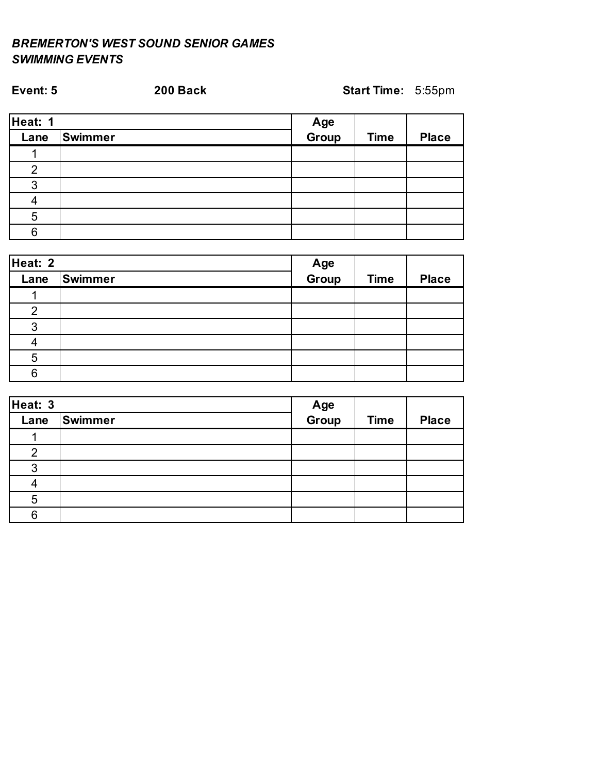| Event: 5       |                | 200 Back | Start Time: 5:55pm |             |              |
|----------------|----------------|----------|--------------------|-------------|--------------|
| Heat: 1        |                |          | Age<br>Group       |             |              |
| Lane           | <b>Swimmer</b> |          |                    | <b>Time</b> | <b>Place</b> |
|                |                |          |                    |             |              |
| $\overline{2}$ |                |          |                    |             |              |
| 3              |                |          |                    |             |              |
|                |                |          |                    |             |              |
| 5              |                |          |                    |             |              |
| 6              |                |          |                    |             |              |

| Heat: 2 |         |              |             |              |
|---------|---------|--------------|-------------|--------------|
| Lane    | Swimmer | Age<br>Group | <b>Time</b> | <b>Place</b> |
|         |         |              |             |              |
| 2       |         |              |             |              |
| 3       |         |              |             |              |
|         |         |              |             |              |
| 5       |         |              |             |              |
| հ       |         |              |             |              |

| Heat: 3 |                |              |             |              |
|---------|----------------|--------------|-------------|--------------|
| Lane    | <b>Swimmer</b> | Age<br>Group | <b>Time</b> | <b>Place</b> |
|         |                |              |             |              |
| റ       |                |              |             |              |
| ว       |                |              |             |              |
|         |                |              |             |              |
| 5       |                |              |             |              |
|         |                |              |             |              |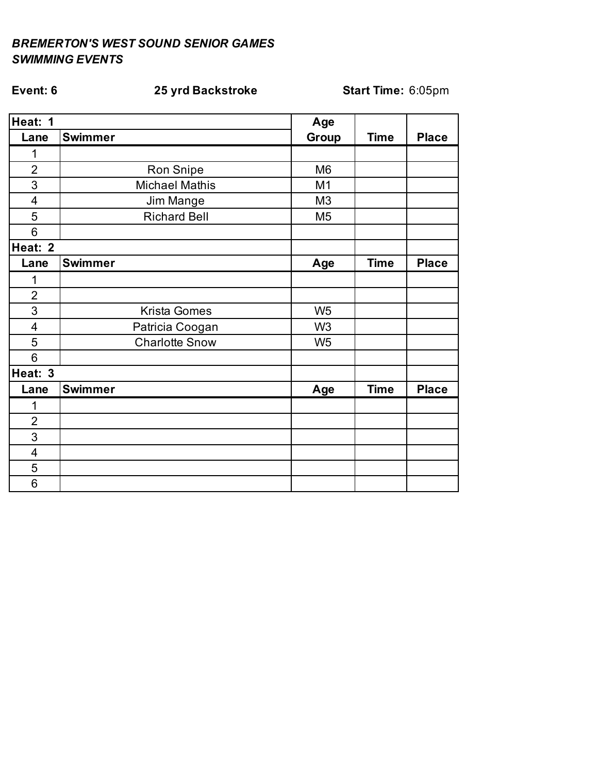# **Event: 6 25 yrd Backstroke Start Time:** 6:05pm

| Heat: 1         |                       | Age            |             |              |
|-----------------|-----------------------|----------------|-------------|--------------|
| Lane            | <b>Swimmer</b>        | Group          | <b>Time</b> | <b>Place</b> |
| 1               |                       |                |             |              |
| $\overline{2}$  | Ron Snipe             | M <sub>6</sub> |             |              |
| $\overline{3}$  | <b>Michael Mathis</b> | M <sub>1</sub> |             |              |
| $\overline{4}$  | Jim Mange             | M <sub>3</sub> |             |              |
| 5               | <b>Richard Bell</b>   | M <sub>5</sub> |             |              |
| 6               |                       |                |             |              |
| Heat: 2         |                       |                |             |              |
| Lane            | <b>Swimmer</b>        | Age            | <b>Time</b> | <b>Place</b> |
| 1               |                       |                |             |              |
| $\overline{2}$  |                       |                |             |              |
| 3               | Krista Gomes          | W <sub>5</sub> |             |              |
| $\overline{4}$  | Patricia Coogan       | W <sub>3</sub> |             |              |
| 5               | <b>Charlotte Snow</b> | W <sub>5</sub> |             |              |
| $6\phantom{1}6$ |                       |                |             |              |
| Heat: 3         |                       |                |             |              |
| Lane            | <b>Swimmer</b>        | Age            | <b>Time</b> | <b>Place</b> |
| 1               |                       |                |             |              |
| $\overline{2}$  |                       |                |             |              |
| $\overline{3}$  |                       |                |             |              |
| $\overline{4}$  |                       |                |             |              |
| 5               |                       |                |             |              |
| 6               |                       |                |             |              |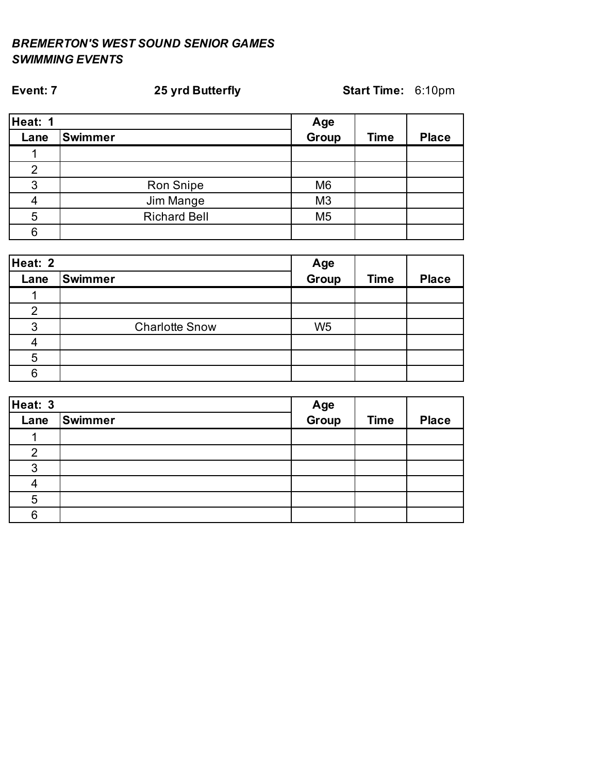# **Heat: 1 Age Lane Swimmer Group Time Place** M6 Ron Snipe M3 Jim Mange M5 Richard Bell

**Event: 7 25 yrd Butterfly Start Time:** 6:10pm

| Heat: 2 |                       |                |             |              |
|---------|-----------------------|----------------|-------------|--------------|
| Lane    | <b>Swimmer</b>        | Age<br>Group   | <b>Time</b> | <b>Place</b> |
|         |                       |                |             |              |
| 2       |                       |                |             |              |
| 3       | <b>Charlotte Snow</b> | W <sub>5</sub> |             |              |
|         |                       |                |             |              |
| 5       |                       |                |             |              |
| 6       |                       |                |             |              |

| Heat: 3 |         |              |             |              |
|---------|---------|--------------|-------------|--------------|
| Lane    | Swimmer | Age<br>Group | <b>Time</b> | <b>Place</b> |
|         |         |              |             |              |
| 2       |         |              |             |              |
| 3       |         |              |             |              |
|         |         |              |             |              |
| 5       |         |              |             |              |
| 6       |         |              |             |              |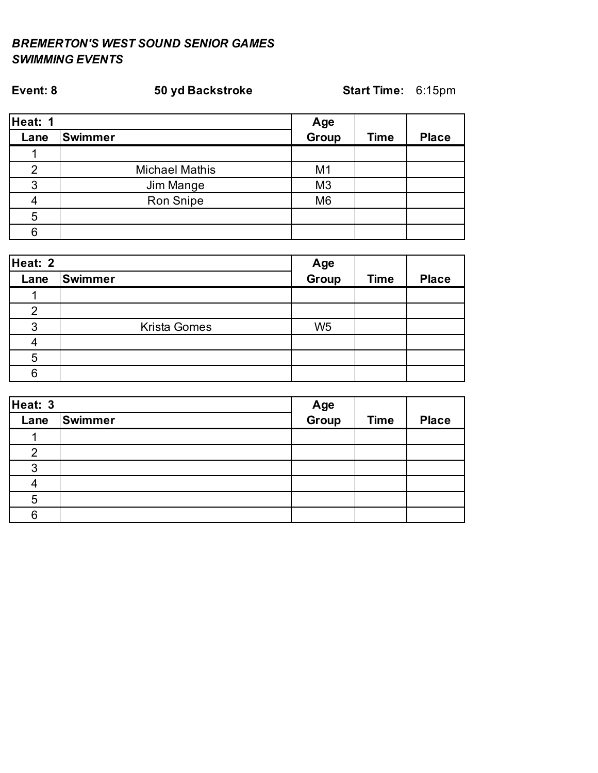| Heat: 1 |                       |                |             |              |
|---------|-----------------------|----------------|-------------|--------------|
| Lane    | <b>Swimmer</b>        | Age<br>Group   | <b>Time</b> | <b>Place</b> |
|         |                       |                |             |              |
| ⌒       | <b>Michael Mathis</b> | M <sub>1</sub> |             |              |
| 3       | Jim Mange             | M <sub>3</sub> |             |              |
|         | Ron Snipe             | M <sub>6</sub> |             |              |
| 5       |                       |                |             |              |
| 6       |                       |                |             |              |

**Event: 8 50 yd Backstroke Start Time:** 6:15pm

| Heat: 2 |                     |                |             |              |
|---------|---------------------|----------------|-------------|--------------|
| Lane    | Swimmer             | Age<br>Group   | <b>Time</b> | <b>Place</b> |
|         |                     |                |             |              |
| າ       |                     |                |             |              |
| 3       | <b>Krista Gomes</b> | W <sub>5</sub> |             |              |
|         |                     |                |             |              |
| 5       |                     |                |             |              |
| 6       |                     |                |             |              |

| Heat: 3 |         |              |             |              |
|---------|---------|--------------|-------------|--------------|
| Lane    | Swimmer | Age<br>Group | <b>Time</b> | <b>Place</b> |
|         |         |              |             |              |
| ◠       |         |              |             |              |
| 3       |         |              |             |              |
|         |         |              |             |              |
| 5       |         |              |             |              |
| 6       |         |              |             |              |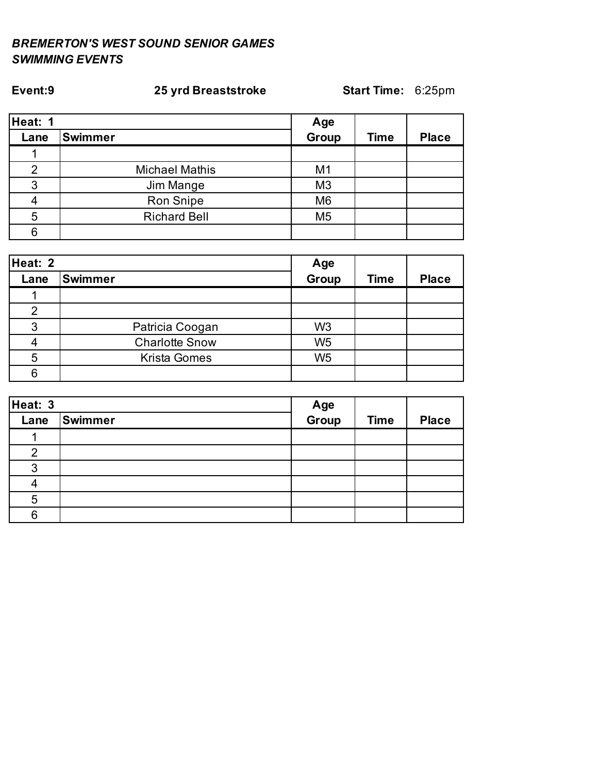| Heat: 1 |                       |                |             |              |
|---------|-----------------------|----------------|-------------|--------------|
| Lane    | <b>Swimmer</b>        | Age<br>Group   | <b>Time</b> | <b>Place</b> |
|         |                       |                |             |              |
| ⌒       | <b>Michael Mathis</b> | M <sub>1</sub> |             |              |
| 3       | Jim Mange             | M <sub>3</sub> |             |              |
|         | Ron Snipe             | M <sub>6</sub> |             |              |
| 5       | <b>Richard Bell</b>   | M <sub>5</sub> |             |              |
| 6       |                       |                |             |              |

**Event:9 25 yrd Breaststroke Start Time:** 6:25pm

| Heat: 2 |                       |                |             |              |
|---------|-----------------------|----------------|-------------|--------------|
| Lane    | Swimmer               | Age<br>Group   | <b>Time</b> | <b>Place</b> |
|         |                       |                |             |              |
| 2       |                       |                |             |              |
| 3       | Patricia Coogan       | W <sub>3</sub> |             |              |
|         | <b>Charlotte Snow</b> | W <sub>5</sub> |             |              |
| 5       | <b>Krista Gomes</b>   | W <sub>5</sub> |             |              |
|         |                       |                |             |              |

| Heat: 3 |         |              |             |              |
|---------|---------|--------------|-------------|--------------|
| Lane    | Swimmer | Age<br>Group | <b>Time</b> | <b>Place</b> |
|         |         |              |             |              |
| 2       |         |              |             |              |
| 3       |         |              |             |              |
|         |         |              |             |              |
| 5       |         |              |             |              |
| 6       |         |              |             |              |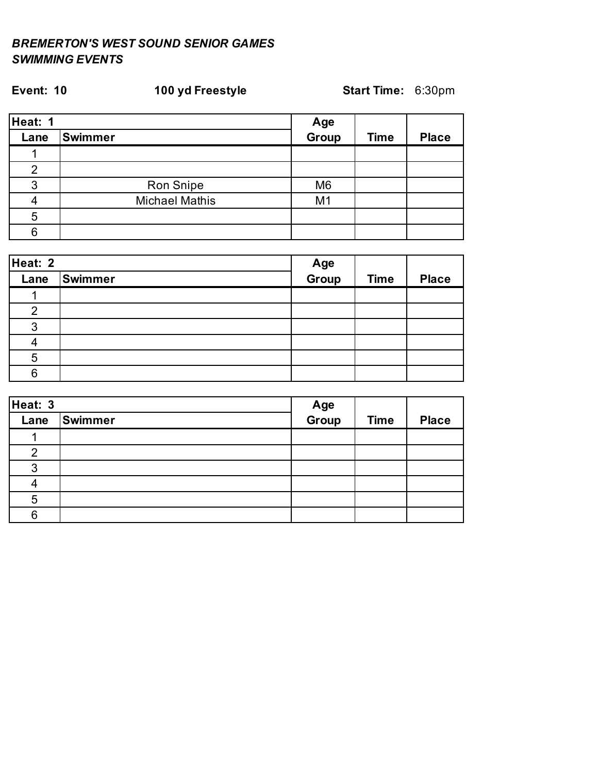# **Heat: 1 Age Lane Swimmer Group Time Place** M6 Ron Snipe M1 Michael Mathis

**Event: 10 100 yd Freestyle Start Time:** 6:30pm

| Heat: 2 |         |              |             |              |
|---------|---------|--------------|-------------|--------------|
| Lane    | Swimmer | Age<br>Group | <b>Time</b> | <b>Place</b> |
|         |         |              |             |              |
| 2       |         |              |             |              |
| 3       |         |              |             |              |
|         |         |              |             |              |
| 5       |         |              |             |              |
| 6       |         |              |             |              |

| Heat: 3 |         |              |             |              |
|---------|---------|--------------|-------------|--------------|
| Lane    | Swimmer | Age<br>Group | <b>Time</b> | <b>Place</b> |
|         |         |              |             |              |
| 2       |         |              |             |              |
| 3       |         |              |             |              |
|         |         |              |             |              |
| 5       |         |              |             |              |
| 6       |         |              |             |              |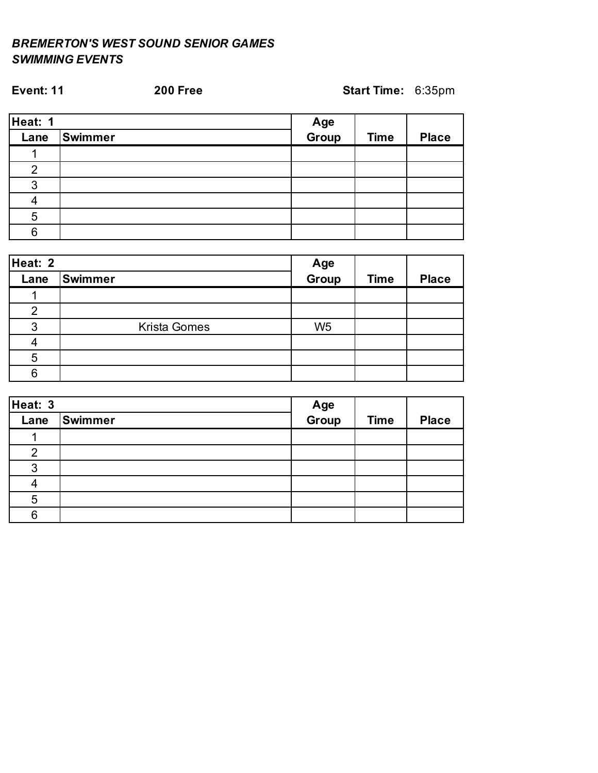| <b>Event: 11</b> |         | <b>200 Free</b> | Start Time: 6:35pm |             |              |
|------------------|---------|-----------------|--------------------|-------------|--------------|
| Heat: 1          |         |                 |                    |             |              |
| Lane             | Swimmer |                 | Age<br>Group       | <b>Time</b> | <b>Place</b> |
|                  |         |                 |                    |             |              |
| $\overline{2}$   |         |                 |                    |             |              |
| 3                |         |                 |                    |             |              |
|                  |         |                 |                    |             |              |
| 5                |         |                 |                    |             |              |
| 6                |         |                 |                    |             |              |

| Heat: 2 |                     |                |             |              |
|---------|---------------------|----------------|-------------|--------------|
| Lane    | Swimmer             | Age<br>Group   | <b>Time</b> | <b>Place</b> |
|         |                     |                |             |              |
| າ       |                     |                |             |              |
| 3       | <b>Krista Gomes</b> | W <sub>5</sub> |             |              |
|         |                     |                |             |              |
| 5       |                     |                |             |              |
|         |                     |                |             |              |

| Heat: 3 |         |              |             |              |
|---------|---------|--------------|-------------|--------------|
| Lane    | Swimmer | Age<br>Group | <b>Time</b> | <b>Place</b> |
|         |         |              |             |              |
| 2       |         |              |             |              |
| 3       |         |              |             |              |
|         |         |              |             |              |
| 5       |         |              |             |              |
| 6       |         |              |             |              |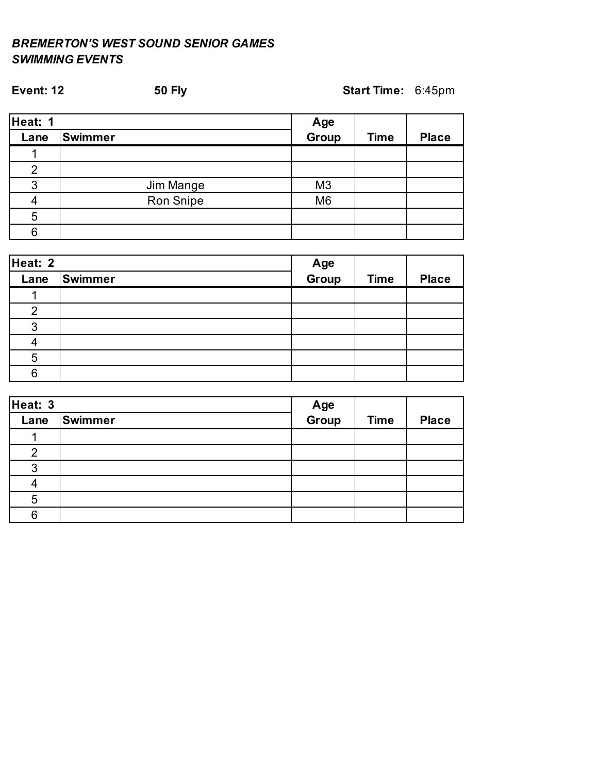| <b>Event: 12</b> | <b>50 Fly</b>  | Start Time: 6:45pm |             |              |
|------------------|----------------|--------------------|-------------|--------------|
| Heat: 1          |                | Age                |             |              |
| Lane             | <b>Swimmer</b> | Group              | <b>Time</b> | <b>Place</b> |
|                  |                |                    |             |              |
| $\overline{2}$   |                |                    |             |              |
| 3                | Jim Mange      | M <sub>3</sub>     |             |              |
| 4                | Ron Snipe      | M <sub>6</sub>     |             |              |
| 5                |                |                    |             |              |
| 6                |                |                    |             |              |

| Heat: 2       |                |              |             |              |
|---------------|----------------|--------------|-------------|--------------|
| Lane          | <b>Swimmer</b> | Age<br>Group | <b>Time</b> | <b>Place</b> |
|               |                |              |             |              |
| $\mathcal{P}$ |                |              |             |              |
| 3             |                |              |             |              |
|               |                |              |             |              |
| 5             |                |              |             |              |
| հ             |                |              |             |              |

| Heat: 3 |                |              |             |              |
|---------|----------------|--------------|-------------|--------------|
| Lane    | <b>Swimmer</b> | Age<br>Group | <b>Time</b> | <b>Place</b> |
|         |                |              |             |              |
| 2       |                |              |             |              |
| ว       |                |              |             |              |
|         |                |              |             |              |
| 5       |                |              |             |              |
|         |                |              |             |              |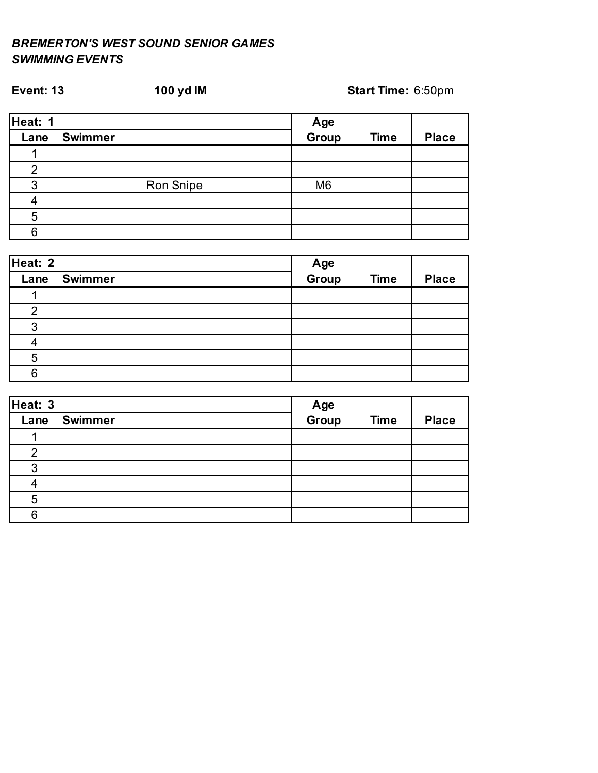# **Heat: 1 Age Lane Swimmer Group Time Place** M6 Ron Snipe

| Heat: 2 |         |              |             |              |
|---------|---------|--------------|-------------|--------------|
| Lane    | Swimmer | Age<br>Group | <b>Time</b> | <b>Place</b> |
|         |         |              |             |              |
| 2       |         |              |             |              |
| 3       |         |              |             |              |
|         |         |              |             |              |
| 5       |         |              |             |              |
| 6       |         |              |             |              |

| Heat: 3 |         |              |             |              |
|---------|---------|--------------|-------------|--------------|
| Lane    | Swimmer | Age<br>Group | <b>Time</b> | <b>Place</b> |
|         |         |              |             |              |
| 2       |         |              |             |              |
| っ       |         |              |             |              |
|         |         |              |             |              |
| 5       |         |              |             |              |
| Ⴌ       |         |              |             |              |

# **Event: 13 100 yd IM Start Time:** 6:50pm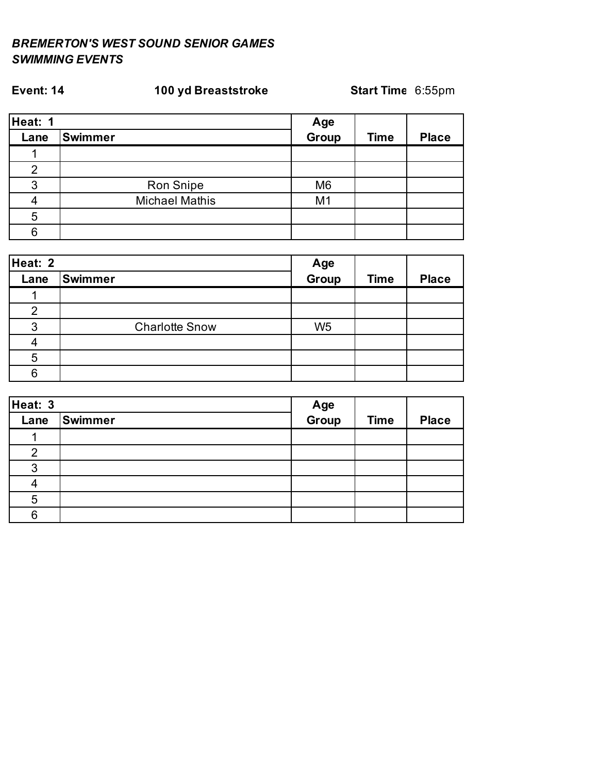# **Event: 14 100 yd Breaststroke Start Time:** 6:55pm

| Heat: 1        |                       |                |             |              |
|----------------|-----------------------|----------------|-------------|--------------|
| Lane           | <b>Swimmer</b>        | Age<br>Group   | <b>Time</b> | <b>Place</b> |
|                |                       |                |             |              |
| $\overline{2}$ |                       |                |             |              |
| 3              | Ron Snipe             | M <sub>6</sub> |             |              |
|                | <b>Michael Mathis</b> | M <sub>1</sub> |             |              |
| 5              |                       |                |             |              |
| ჩ              |                       |                |             |              |

| Heat: 2 |                       |                |             |              |
|---------|-----------------------|----------------|-------------|--------------|
| Lane    | Swimmer               | Age<br>Group   | <b>Time</b> | <b>Place</b> |
|         |                       |                |             |              |
| 2       |                       |                |             |              |
| 3       | <b>Charlotte Snow</b> | W <sub>5</sub> |             |              |
|         |                       |                |             |              |
| 5       |                       |                |             |              |
| ิค      |                       |                |             |              |

| Heat: 3 |         |              |             |              |
|---------|---------|--------------|-------------|--------------|
| Lane    | Swimmer | Age<br>Group | <b>Time</b> | <b>Place</b> |
|         |         |              |             |              |
| 2       |         |              |             |              |
| 3       |         |              |             |              |
|         |         |              |             |              |
| 5       |         |              |             |              |
| 6       |         |              |             |              |